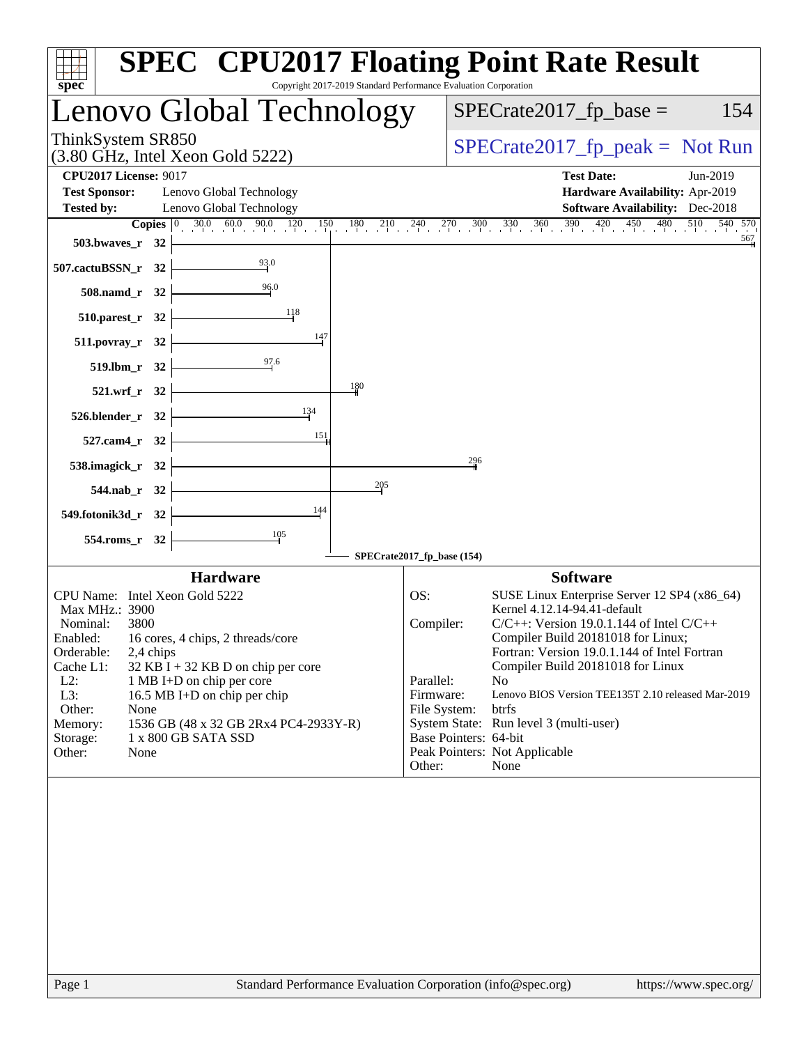| spec <sup>®</sup>            |               |                                                                   |                                       | Copyright 2017-2019 Standard Performance Evaluation Corporation |                            |     | <b>SPEC<sup>®</sup> CPU2017 Floating Point Rate Result</b>                                                                                               |          |
|------------------------------|---------------|-------------------------------------------------------------------|---------------------------------------|-----------------------------------------------------------------|----------------------------|-----|----------------------------------------------------------------------------------------------------------------------------------------------------------|----------|
|                              |               |                                                                   | Lenovo Global Technology              |                                                                 |                            |     | $SPECrate2017_fp\_base =$                                                                                                                                | 154      |
| ThinkSystem SR850            |               | $(3.80 \text{ GHz}, \text{Intel Xeon Gold } 5222)$                |                                       |                                                                 |                            |     | $SPECrate2017fr peak = Not Run$                                                                                                                          |          |
| <b>CPU2017 License: 9017</b> |               |                                                                   |                                       |                                                                 |                            |     | <b>Test Date:</b>                                                                                                                                        | Jun-2019 |
| <b>Test Sponsor:</b>         |               | Lenovo Global Technology                                          |                                       |                                                                 |                            |     | Hardware Availability: Apr-2019                                                                                                                          |          |
| <b>Tested by:</b>            |               | Lenovo Global Technology                                          |                                       |                                                                 |                            |     | <b>Software Availability:</b> Dec-2018                                                                                                                   | 540 570  |
| 503.bwaves_r 32              |               |                                                                   |                                       |                                                                 |                            |     | <b>Copies</b> $\begin{bmatrix} 0 & 30.0 & 60.0 & 90.0 & 120 & 150 & 180 & 210 & 240 & 270 & 300 & 330 & 360 & 390 & 420 & 450 & 480 & 510 \end{bmatrix}$ | 567      |
| 507.cactuBSSN_r 32           |               |                                                                   | $\frac{93.0}{4}$                      |                                                                 |                            |     |                                                                                                                                                          |          |
| 508.namd_r 32                |               |                                                                   | 96.0                                  |                                                                 |                            |     |                                                                                                                                                          |          |
| 510.parest_r 32              |               |                                                                   | 118                                   |                                                                 |                            |     |                                                                                                                                                          |          |
| $511. povray_r$ 32           |               |                                                                   | 147                                   |                                                                 |                            |     |                                                                                                                                                          |          |
|                              | 519.lbm_r 32  |                                                                   | 97.6                                  |                                                                 |                            |     |                                                                                                                                                          |          |
|                              | 521.wrf_r 32  |                                                                   |                                       | 180                                                             |                            |     |                                                                                                                                                          |          |
| 526.blender_r 32             |               |                                                                   | 134                                   |                                                                 |                            |     |                                                                                                                                                          |          |
| 527.cam4_r 32                |               |                                                                   | 151                                   |                                                                 |                            |     |                                                                                                                                                          |          |
| 538.imagick_r 32             |               |                                                                   |                                       |                                                                 |                            | 296 |                                                                                                                                                          |          |
|                              | 544.nab_r 32  |                                                                   |                                       | 205                                                             |                            |     |                                                                                                                                                          |          |
| 549.fotonik3d_r 32           |               |                                                                   | 144                                   |                                                                 |                            |     |                                                                                                                                                          |          |
|                              | 554.roms_r 32 |                                                                   |                                       |                                                                 |                            |     |                                                                                                                                                          |          |
|                              |               |                                                                   |                                       |                                                                 | SPECrate2017_fp_base (154) |     |                                                                                                                                                          |          |
|                              |               | <b>Hardware</b>                                                   |                                       |                                                                 |                            |     | <b>Software</b>                                                                                                                                          |          |
| Max MHz.: 3900               |               | CPU Name: Intel Xeon Gold 5222                                    |                                       |                                                                 | OS:                        |     | SUSE Linux Enterprise Server 12 SP4 (x86_64)<br>Kernel 4.12.14-94.41-default                                                                             |          |
| Nominal:                     | 3800          |                                                                   |                                       |                                                                 | Compiler:                  |     | $C/C++$ : Version 19.0.1.144 of Intel $C/C++$                                                                                                            |          |
| Enabled:                     |               | 16 cores, 4 chips, 2 threads/core                                 |                                       |                                                                 |                            |     | Compiler Build 20181018 for Linux;                                                                                                                       |          |
| Orderable:                   | 2,4 chips     |                                                                   |                                       |                                                                 |                            |     | Fortran: Version 19.0.1.144 of Intel Fortran                                                                                                             |          |
| Cache L1:<br>$L2$ :          |               | $32$ KB I + 32 KB D on chip per core<br>1 MB I+D on chip per core |                                       |                                                                 | Parallel:                  |     | Compiler Build 20181018 for Linux<br>N <sub>o</sub>                                                                                                      |          |
| L3:                          |               | 16.5 MB I+D on chip per chip                                      |                                       |                                                                 | Firmware:                  |     | Lenovo BIOS Version TEE135T 2.10 released Mar-2019                                                                                                       |          |
| Other:                       | None          |                                                                   |                                       |                                                                 | File System:               |     | btrfs                                                                                                                                                    |          |
| Memory:<br>Storage:          |               | 1 x 800 GB SATA SSD                                               | 1536 GB (48 x 32 GB 2Rx4 PC4-2933Y-R) |                                                                 | Base Pointers: 64-bit      |     | System State: Run level 3 (multi-user)                                                                                                                   |          |
| Other:                       | None          |                                                                   |                                       |                                                                 |                            |     | Peak Pointers: Not Applicable                                                                                                                            |          |
|                              |               |                                                                   |                                       |                                                                 | Other:                     |     | None                                                                                                                                                     |          |
|                              |               |                                                                   |                                       |                                                                 |                            |     |                                                                                                                                                          |          |
|                              |               |                                                                   |                                       |                                                                 |                            |     |                                                                                                                                                          |          |
|                              |               |                                                                   |                                       |                                                                 |                            |     |                                                                                                                                                          |          |
|                              |               |                                                                   |                                       |                                                                 |                            |     |                                                                                                                                                          |          |
|                              |               |                                                                   |                                       |                                                                 |                            |     |                                                                                                                                                          |          |
|                              |               |                                                                   |                                       |                                                                 |                            |     |                                                                                                                                                          |          |
|                              |               |                                                                   |                                       |                                                                 |                            |     |                                                                                                                                                          |          |
|                              |               |                                                                   |                                       |                                                                 |                            |     |                                                                                                                                                          |          |
|                              |               |                                                                   |                                       |                                                                 |                            |     |                                                                                                                                                          |          |
|                              |               |                                                                   |                                       |                                                                 |                            |     |                                                                                                                                                          |          |
|                              |               |                                                                   |                                       |                                                                 |                            |     |                                                                                                                                                          |          |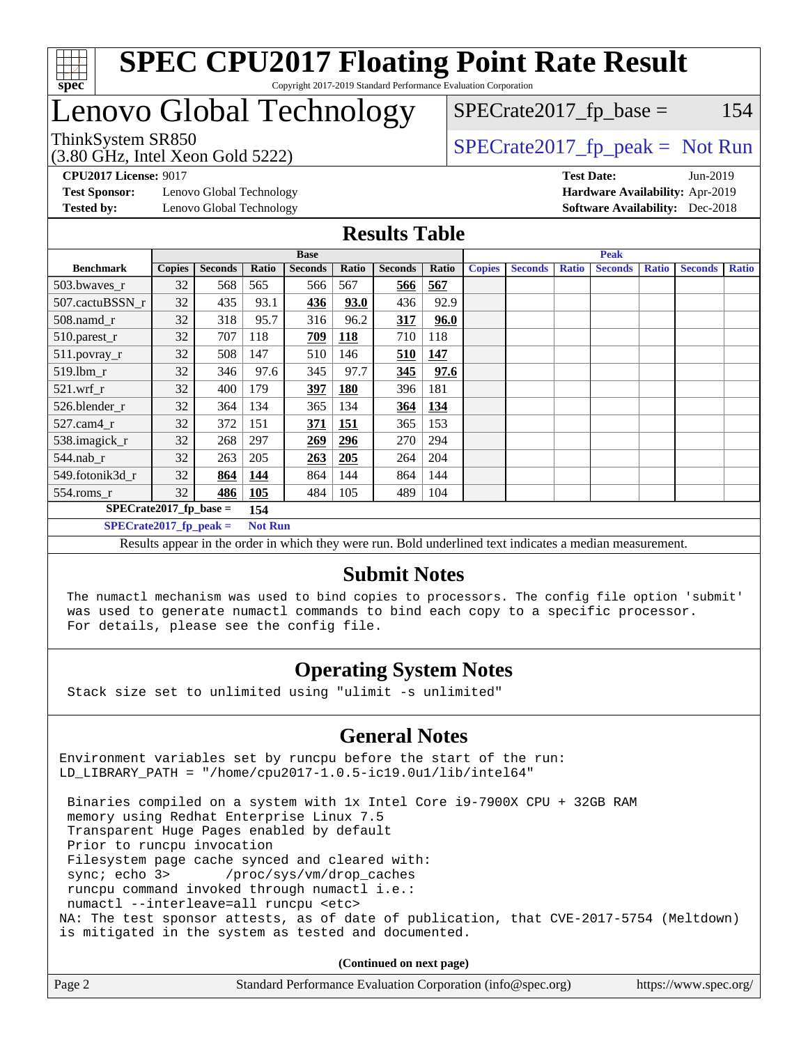

# Lenovo Global Technology

# $SPECTate2017<sub>fr</sub> base = 154$

(3.80 GHz, Intel Xeon Gold 5222)

ThinkSystem SR850<br>  $S$ PECrate2017\_fp\_peak = Not Run

**[Test Sponsor:](http://www.spec.org/auto/cpu2017/Docs/result-fields.html#TestSponsor)** Lenovo Global Technology **[Hardware Availability:](http://www.spec.org/auto/cpu2017/Docs/result-fields.html#HardwareAvailability)** Apr-2019 **[Tested by:](http://www.spec.org/auto/cpu2017/Docs/result-fields.html#Testedby)** Lenovo Global Technology **[Software Availability:](http://www.spec.org/auto/cpu2017/Docs/result-fields.html#SoftwareAvailability)** Dec-2018

**[CPU2017 License:](http://www.spec.org/auto/cpu2017/Docs/result-fields.html#CPU2017License)** 9017 **[Test Date:](http://www.spec.org/auto/cpu2017/Docs/result-fields.html#TestDate)** Jun-2019

### **[Results Table](http://www.spec.org/auto/cpu2017/Docs/result-fields.html#ResultsTable)**

|                           |               |                | <b>Base</b>    |                |            |                | <b>Peak</b> |               |                |              |                |              |                |              |
|---------------------------|---------------|----------------|----------------|----------------|------------|----------------|-------------|---------------|----------------|--------------|----------------|--------------|----------------|--------------|
| <b>Benchmark</b>          | <b>Copies</b> | <b>Seconds</b> | Ratio          | <b>Seconds</b> | Ratio      | <b>Seconds</b> | Ratio       | <b>Copies</b> | <b>Seconds</b> | <b>Ratio</b> | <b>Seconds</b> | <b>Ratio</b> | <b>Seconds</b> | <b>Ratio</b> |
| 503.bwayes_r              | 32            | 568            | 565            | 566            | 567        | 566            | 567         |               |                |              |                |              |                |              |
| 507.cactuBSSN r           | 32            | 435            | 93.1           | <u>436</u>     | 93.0       | 436            | 92.9        |               |                |              |                |              |                |              |
| $508$ .namd $r$           | 32            | 318            | 95.7           | 316            | 96.2       | 317            | 96.0        |               |                |              |                |              |                |              |
| 510.parest_r              | 32            | 707            | 118            | 709            | <b>118</b> | 710            | 118         |               |                |              |                |              |                |              |
| 511.povray_r              | 32            | 508            | 147            | 510            | 146        | <u>510</u>     | 147         |               |                |              |                |              |                |              |
| 519.lbm_r                 | 32            | 346            | 97.6           | 345            | 97.7       | 345            | 97.6        |               |                |              |                |              |                |              |
| $521$ .wrf $r$            | 32            | 400            | 179            | 397            | <b>180</b> | 396            | 181         |               |                |              |                |              |                |              |
| 526.blender r             | 32            | 364            | 134            | 365            | 134        | 364            | 134         |               |                |              |                |              |                |              |
| $527.cam4_r$              | 32            | 372            | 151            | 371            | 151        | 365            | 153         |               |                |              |                |              |                |              |
| 538.imagick_r             | 32            | 268            | 297            | 269            | 296        | 270            | 294         |               |                |              |                |              |                |              |
| 544.nab r                 | 32            | 263            | 205            | 263            | 205        | 264            | 204         |               |                |              |                |              |                |              |
| 549.fotonik3d r           | 32            | 864            | 144            | 864            | 144        | 864            | 144         |               |                |              |                |              |                |              |
| $554$ .roms_r             | 32            | 486            | 105            | 484            | 105        | 489            | 104         |               |                |              |                |              |                |              |
| $SPECrate2017_fp\_base =$ |               |                | 154            |                |            |                |             |               |                |              |                |              |                |              |
| $SPECrate2017_fp_peak =$  |               |                | <b>Not Run</b> |                |            |                |             |               |                |              |                |              |                |              |

Results appear in the [order in which they were run.](http://www.spec.org/auto/cpu2017/Docs/result-fields.html#RunOrder) Bold underlined text [indicates a median measurement.](http://www.spec.org/auto/cpu2017/Docs/result-fields.html#Median)

### **[Submit Notes](http://www.spec.org/auto/cpu2017/Docs/result-fields.html#SubmitNotes)**

 The numactl mechanism was used to bind copies to processors. The config file option 'submit' was used to generate numactl commands to bind each copy to a specific processor. For details, please see the config file.

### **[Operating System Notes](http://www.spec.org/auto/cpu2017/Docs/result-fields.html#OperatingSystemNotes)**

Stack size set to unlimited using "ulimit -s unlimited"

### **[General Notes](http://www.spec.org/auto/cpu2017/Docs/result-fields.html#GeneralNotes)**

Environment variables set by runcpu before the start of the run: LD\_LIBRARY\_PATH = "/home/cpu2017-1.0.5-ic19.0u1/lib/intel64"

 Binaries compiled on a system with 1x Intel Core i9-7900X CPU + 32GB RAM memory using Redhat Enterprise Linux 7.5 Transparent Huge Pages enabled by default Prior to runcpu invocation Filesystem page cache synced and cleared with: sync; echo 3> /proc/sys/vm/drop\_caches runcpu command invoked through numactl i.e.: numactl --interleave=all runcpu <etc> NA: The test sponsor attests, as of date of publication, that CVE-2017-5754 (Meltdown) is mitigated in the system as tested and documented.

**(Continued on next page)**

| Page 2 | Standard Performance Evaluation Corporation (info@spec.org) | https://www.spec.org/ |
|--------|-------------------------------------------------------------|-----------------------|
|--------|-------------------------------------------------------------|-----------------------|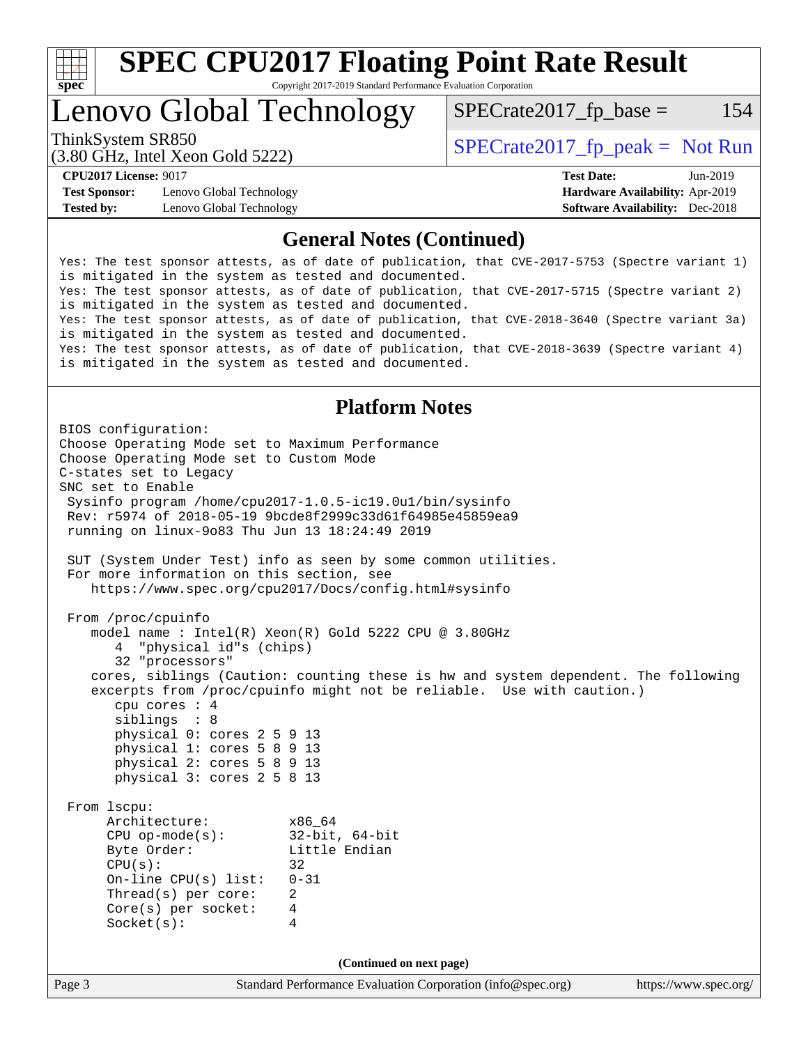

Lenovo Global Technology

 $SPECTate2017<sub>fr</sub> base = 154$ 

(3.80 GHz, Intel Xeon Gold 5222)

ThinkSystem SR850<br>  $S$ PECrate2017\_fp\_peak = Not Run

**[Test Sponsor:](http://www.spec.org/auto/cpu2017/Docs/result-fields.html#TestSponsor)** Lenovo Global Technology **[Hardware Availability:](http://www.spec.org/auto/cpu2017/Docs/result-fields.html#HardwareAvailability)** Apr-2019 **[Tested by:](http://www.spec.org/auto/cpu2017/Docs/result-fields.html#Testedby)** Lenovo Global Technology **[Software Availability:](http://www.spec.org/auto/cpu2017/Docs/result-fields.html#SoftwareAvailability)** Dec-2018

**[CPU2017 License:](http://www.spec.org/auto/cpu2017/Docs/result-fields.html#CPU2017License)** 9017 **[Test Date:](http://www.spec.org/auto/cpu2017/Docs/result-fields.html#TestDate)** Jun-2019

### **[General Notes \(Continued\)](http://www.spec.org/auto/cpu2017/Docs/result-fields.html#GeneralNotes)**

Yes: The test sponsor attests, as of date of publication, that CVE-2017-5753 (Spectre variant 1) is mitigated in the system as tested and documented. Yes: The test sponsor attests, as of date of publication, that CVE-2017-5715 (Spectre variant 2) is mitigated in the system as tested and documented. Yes: The test sponsor attests, as of date of publication, that CVE-2018-3640 (Spectre variant 3a) is mitigated in the system as tested and documented. Yes: The test sponsor attests, as of date of publication, that CVE-2018-3639 (Spectre variant 4) is mitigated in the system as tested and documented.

### **[Platform Notes](http://www.spec.org/auto/cpu2017/Docs/result-fields.html#PlatformNotes)**

Page 3 Standard Performance Evaluation Corporation [\(info@spec.org\)](mailto:info@spec.org) <https://www.spec.org/> BIOS configuration: Choose Operating Mode set to Maximum Performance Choose Operating Mode set to Custom Mode C-states set to Legacy SNC set to Enable Sysinfo program /home/cpu2017-1.0.5-ic19.0u1/bin/sysinfo Rev: r5974 of 2018-05-19 9bcde8f2999c33d61f64985e45859ea9 running on linux-9o83 Thu Jun 13 18:24:49 2019 SUT (System Under Test) info as seen by some common utilities. For more information on this section, see <https://www.spec.org/cpu2017/Docs/config.html#sysinfo> From /proc/cpuinfo model name : Intel(R) Xeon(R) Gold 5222 CPU @ 3.80GHz 4 "physical id"s (chips) 32 "processors" cores, siblings (Caution: counting these is hw and system dependent. The following excerpts from /proc/cpuinfo might not be reliable. Use with caution.) cpu cores : 4 siblings : 8 physical 0: cores 2 5 9 13 physical 1: cores 5 8 9 13 physical 2: cores 5 8 9 13 physical 3: cores 2 5 8 13 From lscpu: Architecture: x86\_64 CPU op-mode(s): 32-bit, 64-bit Little Endian  $CPU(s):$  32 On-line CPU(s) list: 0-31 Thread(s) per core: 2 Core(s) per socket: 4 Socket(s): 4 **(Continued on next page)**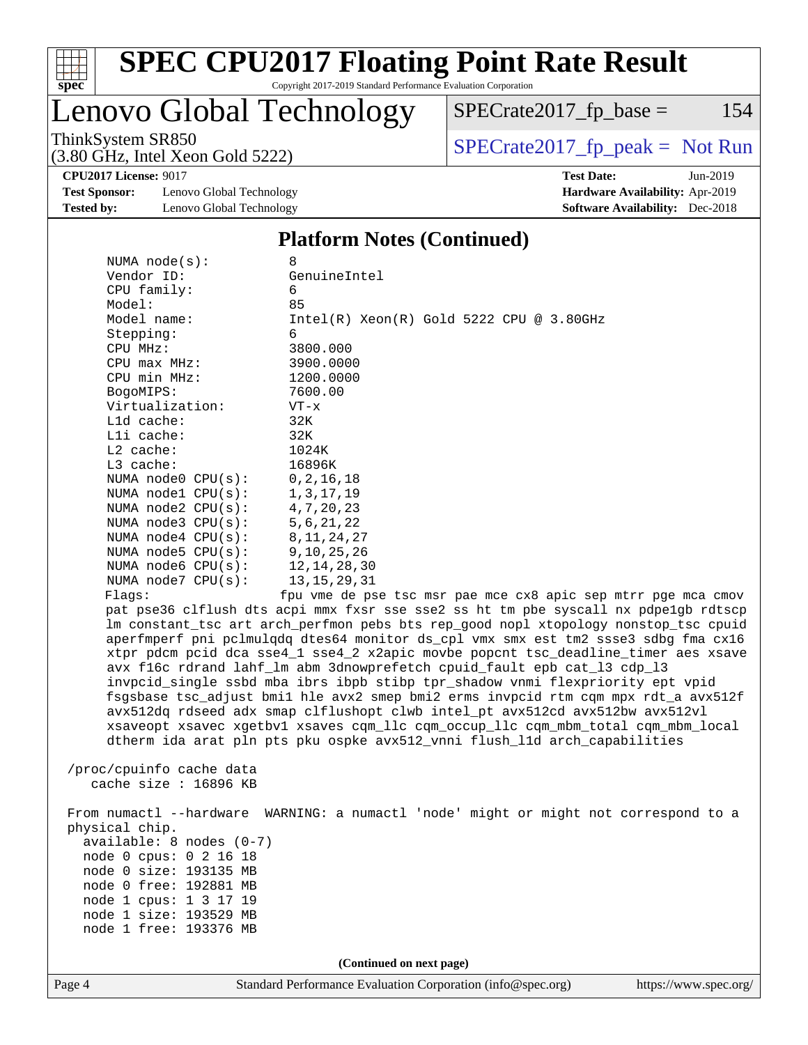

# Lenovo Global Technology

ThinkSystem SR850<br>  $(3.80 \text{ GHz})$  Intel Yeon Gold 5222)

 $SPECrate2017_fp\_base = 154$ 

**[CPU2017 License:](http://www.spec.org/auto/cpu2017/Docs/result-fields.html#CPU2017License)** 9017 **[Test Date:](http://www.spec.org/auto/cpu2017/Docs/result-fields.html#TestDate)** Jun-2019

**[Test Sponsor:](http://www.spec.org/auto/cpu2017/Docs/result-fields.html#TestSponsor)** Lenovo Global Technology **[Hardware Availability:](http://www.spec.org/auto/cpu2017/Docs/result-fields.html#HardwareAvailability)** Apr-2019 **[Tested by:](http://www.spec.org/auto/cpu2017/Docs/result-fields.html#Testedby)** Lenovo Global Technology **[Software Availability:](http://www.spec.org/auto/cpu2017/Docs/result-fields.html#SoftwareAvailability)** Dec-2018

(3.80 GHz, Intel Xeon Gold 5222)

#### **[Platform Notes \(Continued\)](http://www.spec.org/auto/cpu2017/Docs/result-fields.html#PlatformNotes)**

| NUMA $node(s)$ :           | 8                                                                                                                                                                         |
|----------------------------|---------------------------------------------------------------------------------------------------------------------------------------------------------------------------|
| Vendor ID:                 | GenuineIntel                                                                                                                                                              |
| CPU family:                | 6                                                                                                                                                                         |
| Model:                     | 85                                                                                                                                                                        |
| Model name:                | $Intel(R)$ Xeon $(R)$ Gold 5222 CPU @ 3.80GHz                                                                                                                             |
| Stepping:                  | 6                                                                                                                                                                         |
| CPU MHz:                   | 3800.000                                                                                                                                                                  |
| CPU max MHz:               | 3900.0000                                                                                                                                                                 |
| CPU min MHz:               | 1200.0000                                                                                                                                                                 |
| BogoMIPS:                  | 7600.00                                                                                                                                                                   |
| Virtualization:            | $VT - x$                                                                                                                                                                  |
| Lld cache:                 | 32K                                                                                                                                                                       |
| Lli cache:                 | 32K                                                                                                                                                                       |
| $L2$ cache:                | 1024K                                                                                                                                                                     |
| L3 cache:                  | 16896K                                                                                                                                                                    |
| NUMA node0 CPU(s):         | 0, 2, 16, 18                                                                                                                                                              |
| NUMA nodel CPU(s):         | 1, 3, 17, 19                                                                                                                                                              |
| NUMA $node2$ $CPU(s):$     | 4, 7, 20, 23                                                                                                                                                              |
| NUMA $node3$ $CPU(s)$ :    | 5, 6, 21, 22                                                                                                                                                              |
| NUMA node4 CPU(s):         | 8, 11, 24, 27                                                                                                                                                             |
| NUMA $node5$ $CPU(s)$ :    | 9, 10, 25, 26                                                                                                                                                             |
| NUMA node6 $CPU(s):$       | 12, 14, 28, 30                                                                                                                                                            |
| NUMA $node7$ CPU $(s)$ :   | 13, 15, 29, 31                                                                                                                                                            |
| Flaqs:                     | fpu vme de pse tsc msr pae mce cx8 apic sep mtrr pge mca cmov                                                                                                             |
|                            | pat pse36 clflush dts acpi mmx fxsr sse sse2 ss ht tm pbe syscall nx pdpe1gb rdtscp                                                                                       |
|                            | lm constant_tsc art arch_perfmon pebs bts rep_good nopl xtopology nonstop_tsc cpuid<br>aperfmperf pni pclmulqdq dtes64 monitor ds_cpl vmx smx est tm2 ssse3 sdbg fma cx16 |
|                            | xtpr pdcm pcid dca sse4_1 sse4_2 x2apic movbe popcnt tsc_deadline_timer aes xsave                                                                                         |
|                            | avx f16c rdrand lahf_lm abm 3dnowprefetch cpuid_fault epb cat_13 cdp_13                                                                                                   |
|                            | invpcid_single ssbd mba ibrs ibpb stibp tpr_shadow vnmi flexpriority ept vpid                                                                                             |
|                            | fsgsbase tsc_adjust bmil hle avx2 smep bmi2 erms invpcid rtm cqm mpx rdt_a avx512f                                                                                        |
|                            | avx512dq rdseed adx smap clflushopt clwb intel_pt avx512cd avx512bw avx512vl                                                                                              |
|                            | xsaveopt xsavec xgetbvl xsaves cqm_llc cqm_occup_llc cqm_mbm_total cqm_mbm_local                                                                                          |
|                            | dtherm ida arat pln pts pku ospke avx512_vnni flush_lld arch_capabilities                                                                                                 |
|                            |                                                                                                                                                                           |
| /proc/cpuinfo cache data   |                                                                                                                                                                           |
| cache size : 16896 KB      |                                                                                                                                                                           |
|                            |                                                                                                                                                                           |
|                            | From numactl --hardware WARNING: a numactl 'node' might or might not correspond to a                                                                                      |
| physical chip.             |                                                                                                                                                                           |
| $available: 8 nodes (0-7)$ |                                                                                                                                                                           |
| node 0 cpus: 0 2 16 18     |                                                                                                                                                                           |
| node 0 size: 193135 MB     |                                                                                                                                                                           |
| node 0 free: 192881 MB     |                                                                                                                                                                           |
| node 1 cpus: 1 3 17 19     |                                                                                                                                                                           |
| node 1 size: 193529 MB     |                                                                                                                                                                           |
| node 1 free: 193376 MB     |                                                                                                                                                                           |
|                            |                                                                                                                                                                           |
|                            | (Continued on next page)                                                                                                                                                  |
|                            |                                                                                                                                                                           |

Page 4 Standard Performance Evaluation Corporation [\(info@spec.org\)](mailto:info@spec.org) <https://www.spec.org/>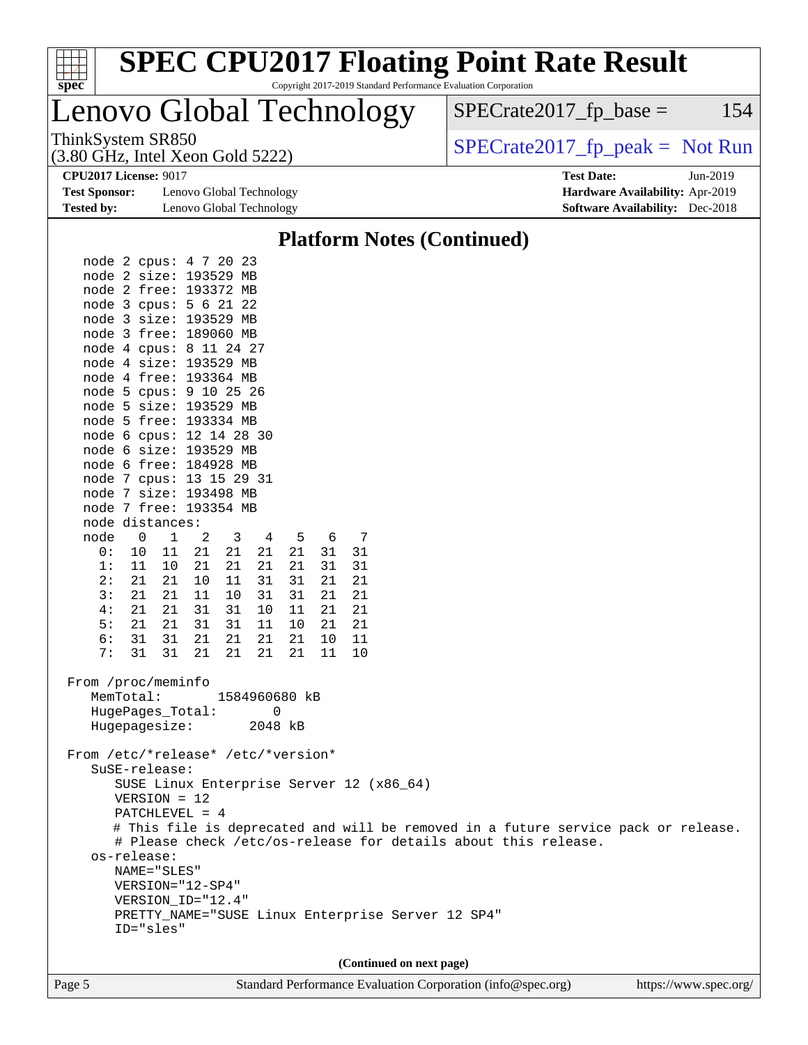| $spec^*$                                                |                                                                                                                                                                                                                                                                                                                                                                                                                                                                                                                                                                                                                                                                                             |                                                                                            |                                                                                                    |                                              |                                             |                                              |                          |                                                                                                | <b>SPEC CPU2017 Floating Point Rate Result</b><br>Copyright 2017-2019 Standard Performance Evaluation Corporation                                    |                                   |                       |  |     |
|---------------------------------------------------------|---------------------------------------------------------------------------------------------------------------------------------------------------------------------------------------------------------------------------------------------------------------------------------------------------------------------------------------------------------------------------------------------------------------------------------------------------------------------------------------------------------------------------------------------------------------------------------------------------------------------------------------------------------------------------------------------|--------------------------------------------------------------------------------------------|----------------------------------------------------------------------------------------------------|----------------------------------------------|---------------------------------------------|----------------------------------------------|--------------------------|------------------------------------------------------------------------------------------------|------------------------------------------------------------------------------------------------------------------------------------------------------|-----------------------------------|-----------------------|--|-----|
|                                                         | Lenovo Global Technology                                                                                                                                                                                                                                                                                                                                                                                                                                                                                                                                                                                                                                                                    |                                                                                            |                                                                                                    |                                              |                                             |                                              |                          |                                                                                                | $SPECrate2017fp base =$                                                                                                                              |                                   |                       |  | 154 |
|                                                         | ThinkSystem SR850<br>$(3.80 \text{ GHz}, \text{Intel Xeon Gold } 5222)$                                                                                                                                                                                                                                                                                                                                                                                                                                                                                                                                                                                                                     |                                                                                            |                                                                                                    |                                              |                                             |                                              |                          |                                                                                                |                                                                                                                                                      | $SPECrate2017_fp\_peak = Not Run$ |                       |  |     |
| <b>Test Sponsor:</b><br><b>Tested by:</b>               | <b>CPU2017 License: 9017</b>                                                                                                                                                                                                                                                                                                                                                                                                                                                                                                                                                                                                                                                                | Lenovo Global Technology<br>Lenovo Global Technology                                       |                                                                                                    |                                              |                                             |                                              |                          | <b>Test Date:</b><br>Hardware Availability: Apr-2019<br><b>Software Availability:</b> Dec-2018 |                                                                                                                                                      | Jun-2019                          |                       |  |     |
|                                                         |                                                                                                                                                                                                                                                                                                                                                                                                                                                                                                                                                                                                                                                                                             |                                                                                            |                                                                                                    |                                              |                                             |                                              |                          |                                                                                                | <b>Platform Notes (Continued)</b>                                                                                                                    |                                   |                       |  |     |
| node<br>0 :<br>1:<br>2:<br>3:<br>4:<br>5:<br>6 :<br>7 : | node 2 cpus: 4 7 20 23<br>node 2 size: 193529 MB<br>node 2 free: 193372 MB<br>node 3 cpus: 5 6 21 22<br>node 3 size: 193529 MB<br>node 3 free: 189060 MB<br>node 4 cpus: 8 11 24 27<br>node 4 size: 193529 MB<br>node 4 free: 193364 MB<br>node 5 cpus: 9 10 25 26<br>node 5 size: 193529 MB<br>node 5 free: 193334 MB<br>node 6 cpus: 12 14 28 30<br>node 6 size: 193529 MB<br>node 6 free: 184928 MB<br>node 7 cpus: 13 15 29 31<br>node 7 size: 193498 MB<br>node 7 free: 193354 MB<br>node distances:<br>0<br>1<br>10<br>11<br>11<br>10<br>21<br>21<br>21<br>21<br>21<br>21<br>21<br>21<br>31<br>31<br>31 31 21<br>From /proc/meminfo<br>MemTotal:<br>HugePages_Total:<br>Hugepagesize: | 2<br>3<br>21<br>21<br>21<br>21<br>10<br>11<br>11<br>10<br>31<br>31<br>31<br>31<br>21<br>21 | 4<br>21<br>21<br>31<br>31<br>10<br>11<br>21<br>21  21  21  11  10<br>1584960680 kB<br>0<br>2048 kB | 5<br>21<br>21<br>31<br>31<br>11<br>10<br>2.1 | 6<br>31<br>31<br>21<br>21<br>21<br>21<br>10 | 7<br>31<br>31<br>21<br>21<br>21<br>21<br>-11 |                          |                                                                                                |                                                                                                                                                      |                                   |                       |  |     |
|                                                         | From /etc/*release* /etc/*version*<br>SuSE-release:<br>SUSE Linux Enterprise Server 12 (x86_64)<br>$VERSION = 12$<br>$PATCHLEVEL = 4$<br>os-release:<br>NAME="SLES"<br>VERSION="12-SP4"<br>VERSION_ID="12.4"<br>PRETTY_NAME="SUSE Linux Enterprise Server 12 SP4"<br>ID="sles"                                                                                                                                                                                                                                                                                                                                                                                                              |                                                                                            |                                                                                                    |                                              |                                             |                                              |                          |                                                                                                | # This file is deprecated and will be removed in a future service pack or release.<br># Please check /etc/os-release for details about this release. |                                   |                       |  |     |
| Page 5                                                  |                                                                                                                                                                                                                                                                                                                                                                                                                                                                                                                                                                                                                                                                                             |                                                                                            |                                                                                                    |                                              |                                             |                                              | (Continued on next page) |                                                                                                | Standard Performance Evaluation Corporation (info@spec.org)                                                                                          |                                   | https://www.spec.org/ |  |     |
|                                                         |                                                                                                                                                                                                                                                                                                                                                                                                                                                                                                                                                                                                                                                                                             |                                                                                            |                                                                                                    |                                              |                                             |                                              |                          |                                                                                                |                                                                                                                                                      |                                   |                       |  |     |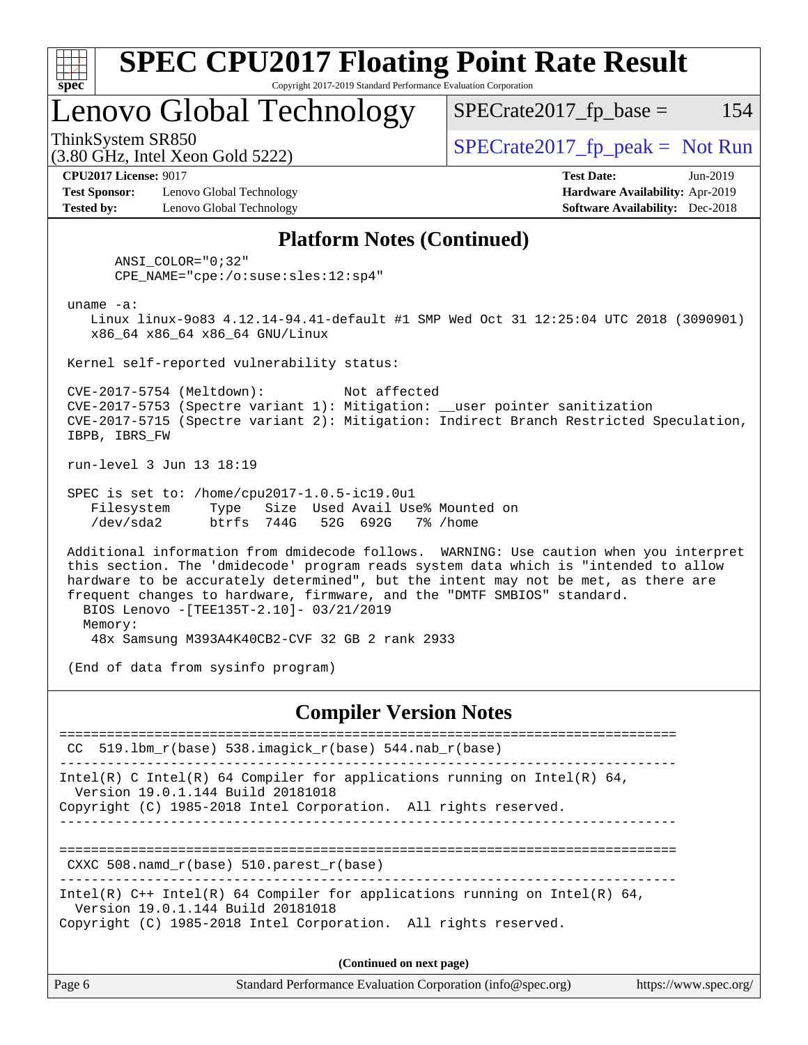

## Lenovo Global Technology

 $SPECTate2017<sub>fr</sub> peak = Not Run$ 

 $SPECTate2017<sub>fr</sub> base = 154$ 

**[Test Sponsor:](http://www.spec.org/auto/cpu2017/Docs/result-fields.html#TestSponsor)** Lenovo Global Technology **[Hardware Availability:](http://www.spec.org/auto/cpu2017/Docs/result-fields.html#HardwareAvailability)** Apr-2019 **[Tested by:](http://www.spec.org/auto/cpu2017/Docs/result-fields.html#Testedby)** Lenovo Global Technology **[Software Availability:](http://www.spec.org/auto/cpu2017/Docs/result-fields.html#SoftwareAvailability)** Dec-2018

(3.80 GHz, Intel Xeon Gold 5222)

**[CPU2017 License:](http://www.spec.org/auto/cpu2017/Docs/result-fields.html#CPU2017License)** 9017 **[Test Date:](http://www.spec.org/auto/cpu2017/Docs/result-fields.html#TestDate)** Jun-2019

### **[Platform Notes \(Continued\)](http://www.spec.org/auto/cpu2017/Docs/result-fields.html#PlatformNotes)**

 ANSI\_COLOR="0;32" CPE\_NAME="cpe:/o:suse:sles:12:sp4"

uname -a:

 Linux linux-9o83 4.12.14-94.41-default #1 SMP Wed Oct 31 12:25:04 UTC 2018 (3090901) x86\_64 x86\_64 x86\_64 GNU/Linux

Kernel self-reported vulnerability status:

 CVE-2017-5754 (Meltdown): Not affected CVE-2017-5753 (Spectre variant 1): Mitigation: \_\_user pointer sanitization CVE-2017-5715 (Spectre variant 2): Mitigation: Indirect Branch Restricted Speculation, IBPB, IBRS\_FW

run-level 3 Jun 13 18:19

 SPEC is set to: /home/cpu2017-1.0.5-ic19.0u1 Filesystem Type Size Used Avail Use% Mounted on /dev/sda2 btrfs 744G 52G 692G 7% /home

 Additional information from dmidecode follows. WARNING: Use caution when you interpret this section. The 'dmidecode' program reads system data which is "intended to allow hardware to be accurately determined", but the intent may not be met, as there are frequent changes to hardware, firmware, and the "DMTF SMBIOS" standard. BIOS Lenovo -[TEE135T-2.10]- 03/21/2019 Memory:

48x Samsung M393A4K40CB2-CVF 32 GB 2 rank 2933

(End of data from sysinfo program)

### **[Compiler Version Notes](http://www.spec.org/auto/cpu2017/Docs/result-fields.html#CompilerVersionNotes)**

============================================================================== CC 519.1bm  $r(base)$  538.imagick  $r(base)$  544.nab  $r(base)$ ------------------------------------------------------------------------------ Intel(R) C Intel(R) 64 Compiler for applications running on Intel(R)  $64$ , Version 19.0.1.144 Build 20181018 Copyright (C) 1985-2018 Intel Corporation. All rights reserved. ------------------------------------------------------------------------------ ============================================================================== CXXC 508.namd\_r(base) 510.parest\_r(base) ------------------------------------------------------------------------------ Intel(R) C++ Intel(R) 64 Compiler for applications running on Intel(R) 64, Version 19.0.1.144 Build 20181018 Copyright (C) 1985-2018 Intel Corporation. All rights reserved. **(Continued on next page)**

| Standard Performance Evaluation Corporation (info@spec.org)<br>Page 6<br>https://www.spec.org/ |
|------------------------------------------------------------------------------------------------|
|------------------------------------------------------------------------------------------------|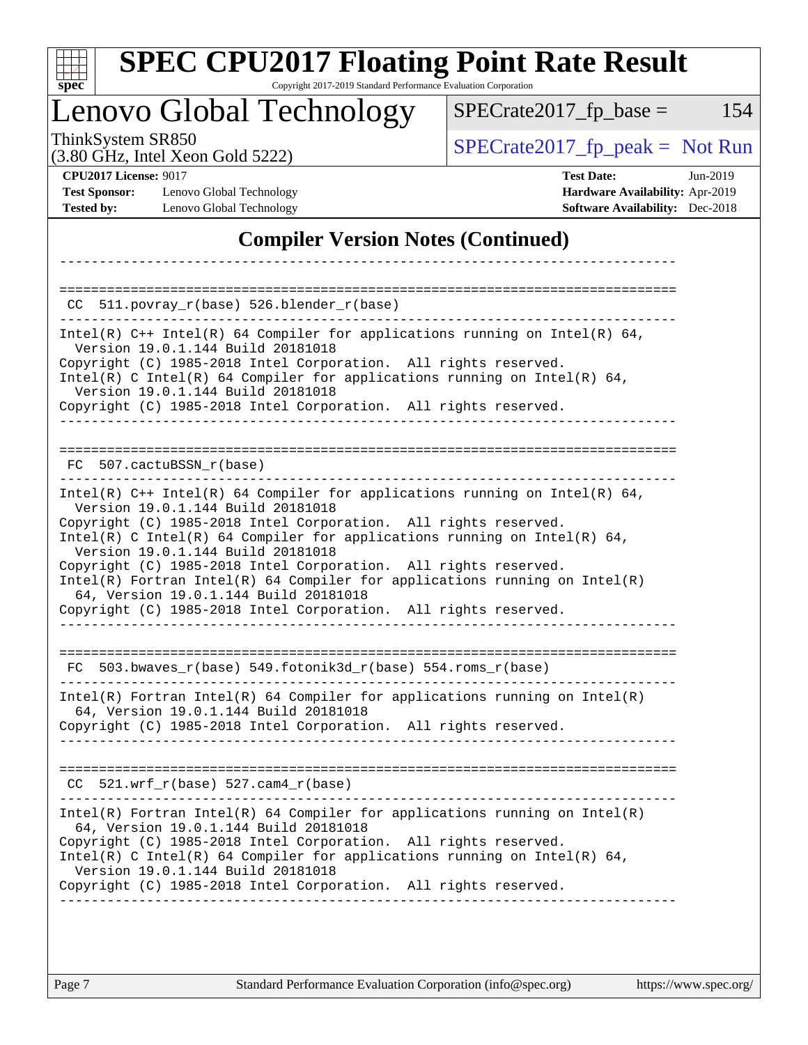|                                                                           | Lenovo Global Technology                                                                                                                                                                                                                                                                                                                                                                                                                                                                                                                                             | $SPECrate2017$ fp base =<br>154                                                                              |
|---------------------------------------------------------------------------|----------------------------------------------------------------------------------------------------------------------------------------------------------------------------------------------------------------------------------------------------------------------------------------------------------------------------------------------------------------------------------------------------------------------------------------------------------------------------------------------------------------------------------------------------------------------|--------------------------------------------------------------------------------------------------------------|
| ThinkSystem SR850                                                         | (3.80 GHz, Intel Xeon Gold 5222)                                                                                                                                                                                                                                                                                                                                                                                                                                                                                                                                     | $SPECrate2017fr peak = Not Run$                                                                              |
| <b>CPU2017 License: 9017</b><br><b>Test Sponsor:</b><br><b>Tested by:</b> | Lenovo Global Technology<br>Lenovo Global Technology                                                                                                                                                                                                                                                                                                                                                                                                                                                                                                                 | <b>Test Date:</b><br>$Jun-2019$<br>Hardware Availability: Apr-2019<br><b>Software Availability:</b> Dec-2018 |
|                                                                           | <b>Compiler Version Notes (Continued)</b>                                                                                                                                                                                                                                                                                                                                                                                                                                                                                                                            |                                                                                                              |
| CC.                                                                       | 511.povray_r(base) 526.blender_r(base)                                                                                                                                                                                                                                                                                                                                                                                                                                                                                                                               |                                                                                                              |
|                                                                           | Intel(R) $C++$ Intel(R) 64 Compiler for applications running on Intel(R) 64,<br>Version 19.0.1.144 Build 20181018<br>Copyright (C) 1985-2018 Intel Corporation. All rights reserved.<br>Intel(R) C Intel(R) 64 Compiler for applications running on Intel(R) 64,<br>Version 19.0.1.144 Build 20181018<br>Copyright (C) 1985-2018 Intel Corporation. All rights reserved.                                                                                                                                                                                             |                                                                                                              |
|                                                                           | FC 507.cactuBSSN r(base)                                                                                                                                                                                                                                                                                                                                                                                                                                                                                                                                             |                                                                                                              |
|                                                                           | Intel(R) $C++$ Intel(R) 64 Compiler for applications running on Intel(R) 64,<br>Version 19.0.1.144 Build 20181018<br>Copyright (C) 1985-2018 Intel Corporation. All rights reserved.<br>Intel(R) C Intel(R) 64 Compiler for applications running on Intel(R) 64,<br>Version 19.0.1.144 Build 20181018<br>Copyright (C) 1985-2018 Intel Corporation. All rights reserved.<br>$Intel(R)$ Fortran Intel(R) 64 Compiler for applications running on Intel(R)<br>64, Version 19.0.1.144 Build 20181018<br>Copyright (C) 1985-2018 Intel Corporation. All rights reserved. |                                                                                                              |
| FC.                                                                       | 503.bwaves_r(base) 549.fotonik3d_r(base) 554.roms_r(base)                                                                                                                                                                                                                                                                                                                                                                                                                                                                                                            |                                                                                                              |
|                                                                           | Intel(R) Fortran Intel(R) 64 Compiler for applications running on Intel(R)<br>64, Version 19.0.1.144 Build 20181018<br>Copyright (C) 1985-2018 Intel Corporation. All rights reserved.                                                                                                                                                                                                                                                                                                                                                                               |                                                                                                              |
|                                                                           | $CC$ 521.wrf_r(base) 527.cam4_r(base)                                                                                                                                                                                                                                                                                                                                                                                                                                                                                                                                |                                                                                                              |
|                                                                           | --------------------------------------<br>$Intel(R)$ Fortran Intel(R) 64 Compiler for applications running on Intel(R)<br>64, Version 19.0.1.144 Build 20181018<br>Copyright (C) 1985-2018 Intel Corporation. All rights reserved.<br>Intel(R) C Intel(R) 64 Compiler for applications running on Intel(R) 64,<br>Version 19.0.1.144 Build 20181018<br>Copyright (C) 1985-2018 Intel Corporation. All rights reserved.                                                                                                                                               |                                                                                                              |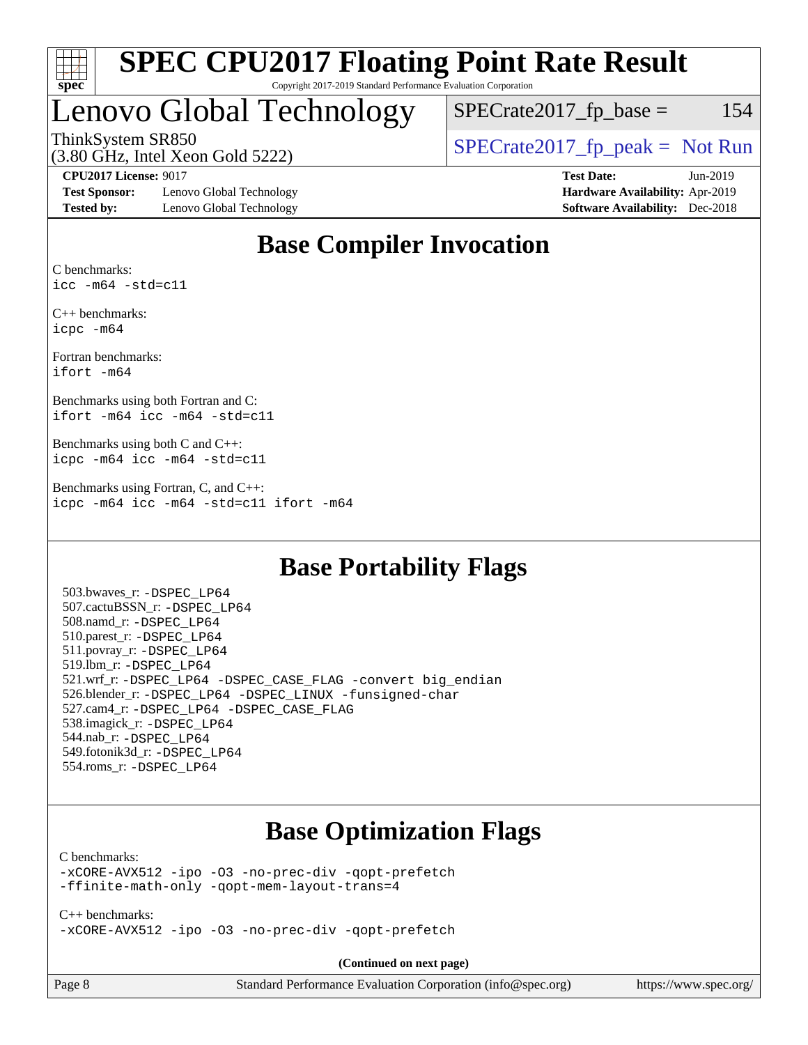

# Lenovo Global Technology

 $SPECTate2017$  fp base = 154

(3.80 GHz, Intel Xeon Gold 5222)

ThinkSystem SR850<br>  $(3.80 \text{ GHz. Intel Yoon Gold } 5222)$   $SPECTate2017<sub>rfp</sub> peak = Not Run$ 

**[Test Sponsor:](http://www.spec.org/auto/cpu2017/Docs/result-fields.html#TestSponsor)** Lenovo Global Technology **[Hardware Availability:](http://www.spec.org/auto/cpu2017/Docs/result-fields.html#HardwareAvailability)** Apr-2019 **[Tested by:](http://www.spec.org/auto/cpu2017/Docs/result-fields.html#Testedby)** Lenovo Global Technology **[Software Availability:](http://www.spec.org/auto/cpu2017/Docs/result-fields.html#SoftwareAvailability)** Dec-2018

**[CPU2017 License:](http://www.spec.org/auto/cpu2017/Docs/result-fields.html#CPU2017License)** 9017 **[Test Date:](http://www.spec.org/auto/cpu2017/Docs/result-fields.html#TestDate)** Jun-2019

### **[Base Compiler Invocation](http://www.spec.org/auto/cpu2017/Docs/result-fields.html#BaseCompilerInvocation)**

[C benchmarks](http://www.spec.org/auto/cpu2017/Docs/result-fields.html#Cbenchmarks): [icc -m64 -std=c11](http://www.spec.org/cpu2017/results/res2019q3/cpu2017-20190624-15543.flags.html#user_CCbase_intel_icc_64bit_c11_33ee0cdaae7deeeab2a9725423ba97205ce30f63b9926c2519791662299b76a0318f32ddfffdc46587804de3178b4f9328c46fa7c2b0cd779d7a61945c91cd35)

[C++ benchmarks:](http://www.spec.org/auto/cpu2017/Docs/result-fields.html#CXXbenchmarks) [icpc -m64](http://www.spec.org/cpu2017/results/res2019q3/cpu2017-20190624-15543.flags.html#user_CXXbase_intel_icpc_64bit_4ecb2543ae3f1412ef961e0650ca070fec7b7afdcd6ed48761b84423119d1bf6bdf5cad15b44d48e7256388bc77273b966e5eb805aefd121eb22e9299b2ec9d9)

[Fortran benchmarks](http://www.spec.org/auto/cpu2017/Docs/result-fields.html#Fortranbenchmarks): [ifort -m64](http://www.spec.org/cpu2017/results/res2019q3/cpu2017-20190624-15543.flags.html#user_FCbase_intel_ifort_64bit_24f2bb282fbaeffd6157abe4f878425411749daecae9a33200eee2bee2fe76f3b89351d69a8130dd5949958ce389cf37ff59a95e7a40d588e8d3a57e0c3fd751)

[Benchmarks using both Fortran and C](http://www.spec.org/auto/cpu2017/Docs/result-fields.html#BenchmarksusingbothFortranandC): [ifort -m64](http://www.spec.org/cpu2017/results/res2019q3/cpu2017-20190624-15543.flags.html#user_CC_FCbase_intel_ifort_64bit_24f2bb282fbaeffd6157abe4f878425411749daecae9a33200eee2bee2fe76f3b89351d69a8130dd5949958ce389cf37ff59a95e7a40d588e8d3a57e0c3fd751) [icc -m64 -std=c11](http://www.spec.org/cpu2017/results/res2019q3/cpu2017-20190624-15543.flags.html#user_CC_FCbase_intel_icc_64bit_c11_33ee0cdaae7deeeab2a9725423ba97205ce30f63b9926c2519791662299b76a0318f32ddfffdc46587804de3178b4f9328c46fa7c2b0cd779d7a61945c91cd35)

[Benchmarks using both C and C++:](http://www.spec.org/auto/cpu2017/Docs/result-fields.html#BenchmarksusingbothCandCXX) [icpc -m64](http://www.spec.org/cpu2017/results/res2019q3/cpu2017-20190624-15543.flags.html#user_CC_CXXbase_intel_icpc_64bit_4ecb2543ae3f1412ef961e0650ca070fec7b7afdcd6ed48761b84423119d1bf6bdf5cad15b44d48e7256388bc77273b966e5eb805aefd121eb22e9299b2ec9d9) [icc -m64 -std=c11](http://www.spec.org/cpu2017/results/res2019q3/cpu2017-20190624-15543.flags.html#user_CC_CXXbase_intel_icc_64bit_c11_33ee0cdaae7deeeab2a9725423ba97205ce30f63b9926c2519791662299b76a0318f32ddfffdc46587804de3178b4f9328c46fa7c2b0cd779d7a61945c91cd35)

[Benchmarks using Fortran, C, and C++](http://www.spec.org/auto/cpu2017/Docs/result-fields.html#BenchmarksusingFortranCandCXX): [icpc -m64](http://www.spec.org/cpu2017/results/res2019q3/cpu2017-20190624-15543.flags.html#user_CC_CXX_FCbase_intel_icpc_64bit_4ecb2543ae3f1412ef961e0650ca070fec7b7afdcd6ed48761b84423119d1bf6bdf5cad15b44d48e7256388bc77273b966e5eb805aefd121eb22e9299b2ec9d9) [icc -m64 -std=c11](http://www.spec.org/cpu2017/results/res2019q3/cpu2017-20190624-15543.flags.html#user_CC_CXX_FCbase_intel_icc_64bit_c11_33ee0cdaae7deeeab2a9725423ba97205ce30f63b9926c2519791662299b76a0318f32ddfffdc46587804de3178b4f9328c46fa7c2b0cd779d7a61945c91cd35) [ifort -m64](http://www.spec.org/cpu2017/results/res2019q3/cpu2017-20190624-15543.flags.html#user_CC_CXX_FCbase_intel_ifort_64bit_24f2bb282fbaeffd6157abe4f878425411749daecae9a33200eee2bee2fe76f3b89351d69a8130dd5949958ce389cf37ff59a95e7a40d588e8d3a57e0c3fd751)

### **[Base Portability Flags](http://www.spec.org/auto/cpu2017/Docs/result-fields.html#BasePortabilityFlags)**

 503.bwaves\_r: [-DSPEC\\_LP64](http://www.spec.org/cpu2017/results/res2019q3/cpu2017-20190624-15543.flags.html#suite_basePORTABILITY503_bwaves_r_DSPEC_LP64) 507.cactuBSSN\_r: [-DSPEC\\_LP64](http://www.spec.org/cpu2017/results/res2019q3/cpu2017-20190624-15543.flags.html#suite_basePORTABILITY507_cactuBSSN_r_DSPEC_LP64) 508.namd\_r: [-DSPEC\\_LP64](http://www.spec.org/cpu2017/results/res2019q3/cpu2017-20190624-15543.flags.html#suite_basePORTABILITY508_namd_r_DSPEC_LP64) 510.parest\_r: [-DSPEC\\_LP64](http://www.spec.org/cpu2017/results/res2019q3/cpu2017-20190624-15543.flags.html#suite_basePORTABILITY510_parest_r_DSPEC_LP64) 511.povray\_r: [-DSPEC\\_LP64](http://www.spec.org/cpu2017/results/res2019q3/cpu2017-20190624-15543.flags.html#suite_basePORTABILITY511_povray_r_DSPEC_LP64) 519.lbm\_r: [-DSPEC\\_LP64](http://www.spec.org/cpu2017/results/res2019q3/cpu2017-20190624-15543.flags.html#suite_basePORTABILITY519_lbm_r_DSPEC_LP64) 521.wrf\_r: [-DSPEC\\_LP64](http://www.spec.org/cpu2017/results/res2019q3/cpu2017-20190624-15543.flags.html#suite_basePORTABILITY521_wrf_r_DSPEC_LP64) [-DSPEC\\_CASE\\_FLAG](http://www.spec.org/cpu2017/results/res2019q3/cpu2017-20190624-15543.flags.html#b521.wrf_r_baseCPORTABILITY_DSPEC_CASE_FLAG) [-convert big\\_endian](http://www.spec.org/cpu2017/results/res2019q3/cpu2017-20190624-15543.flags.html#user_baseFPORTABILITY521_wrf_r_convert_big_endian_c3194028bc08c63ac5d04de18c48ce6d347e4e562e8892b8bdbdc0214820426deb8554edfa529a3fb25a586e65a3d812c835984020483e7e73212c4d31a38223) 526.blender\_r: [-DSPEC\\_LP64](http://www.spec.org/cpu2017/results/res2019q3/cpu2017-20190624-15543.flags.html#suite_basePORTABILITY526_blender_r_DSPEC_LP64) [-DSPEC\\_LINUX](http://www.spec.org/cpu2017/results/res2019q3/cpu2017-20190624-15543.flags.html#b526.blender_r_baseCPORTABILITY_DSPEC_LINUX) [-funsigned-char](http://www.spec.org/cpu2017/results/res2019q3/cpu2017-20190624-15543.flags.html#user_baseCPORTABILITY526_blender_r_force_uchar_40c60f00ab013830e2dd6774aeded3ff59883ba5a1fc5fc14077f794d777847726e2a5858cbc7672e36e1b067e7e5c1d9a74f7176df07886a243d7cc18edfe67) 527.cam4\_r: [-DSPEC\\_LP64](http://www.spec.org/cpu2017/results/res2019q3/cpu2017-20190624-15543.flags.html#suite_basePORTABILITY527_cam4_r_DSPEC_LP64) [-DSPEC\\_CASE\\_FLAG](http://www.spec.org/cpu2017/results/res2019q3/cpu2017-20190624-15543.flags.html#b527.cam4_r_baseCPORTABILITY_DSPEC_CASE_FLAG) 538.imagick\_r: [-DSPEC\\_LP64](http://www.spec.org/cpu2017/results/res2019q3/cpu2017-20190624-15543.flags.html#suite_basePORTABILITY538_imagick_r_DSPEC_LP64) 544.nab\_r: [-DSPEC\\_LP64](http://www.spec.org/cpu2017/results/res2019q3/cpu2017-20190624-15543.flags.html#suite_basePORTABILITY544_nab_r_DSPEC_LP64) 549.fotonik3d\_r: [-DSPEC\\_LP64](http://www.spec.org/cpu2017/results/res2019q3/cpu2017-20190624-15543.flags.html#suite_basePORTABILITY549_fotonik3d_r_DSPEC_LP64) 554.roms\_r: [-DSPEC\\_LP64](http://www.spec.org/cpu2017/results/res2019q3/cpu2017-20190624-15543.flags.html#suite_basePORTABILITY554_roms_r_DSPEC_LP64)

### **[Base Optimization Flags](http://www.spec.org/auto/cpu2017/Docs/result-fields.html#BaseOptimizationFlags)**

#### [C benchmarks](http://www.spec.org/auto/cpu2017/Docs/result-fields.html#Cbenchmarks):

[-xCORE-AVX512](http://www.spec.org/cpu2017/results/res2019q3/cpu2017-20190624-15543.flags.html#user_CCbase_f-xCORE-AVX512) [-ipo](http://www.spec.org/cpu2017/results/res2019q3/cpu2017-20190624-15543.flags.html#user_CCbase_f-ipo) [-O3](http://www.spec.org/cpu2017/results/res2019q3/cpu2017-20190624-15543.flags.html#user_CCbase_f-O3) [-no-prec-div](http://www.spec.org/cpu2017/results/res2019q3/cpu2017-20190624-15543.flags.html#user_CCbase_f-no-prec-div) [-qopt-prefetch](http://www.spec.org/cpu2017/results/res2019q3/cpu2017-20190624-15543.flags.html#user_CCbase_f-qopt-prefetch) [-ffinite-math-only](http://www.spec.org/cpu2017/results/res2019q3/cpu2017-20190624-15543.flags.html#user_CCbase_f_finite_math_only_cb91587bd2077682c4b38af759c288ed7c732db004271a9512da14a4f8007909a5f1427ecbf1a0fb78ff2a814402c6114ac565ca162485bbcae155b5e4258871) [-qopt-mem-layout-trans=4](http://www.spec.org/cpu2017/results/res2019q3/cpu2017-20190624-15543.flags.html#user_CCbase_f-qopt-mem-layout-trans_fa39e755916c150a61361b7846f310bcdf6f04e385ef281cadf3647acec3f0ae266d1a1d22d972a7087a248fd4e6ca390a3634700869573d231a252c784941a8)

[C++ benchmarks:](http://www.spec.org/auto/cpu2017/Docs/result-fields.html#CXXbenchmarks) [-xCORE-AVX512](http://www.spec.org/cpu2017/results/res2019q3/cpu2017-20190624-15543.flags.html#user_CXXbase_f-xCORE-AVX512) [-ipo](http://www.spec.org/cpu2017/results/res2019q3/cpu2017-20190624-15543.flags.html#user_CXXbase_f-ipo) [-O3](http://www.spec.org/cpu2017/results/res2019q3/cpu2017-20190624-15543.flags.html#user_CXXbase_f-O3) [-no-prec-div](http://www.spec.org/cpu2017/results/res2019q3/cpu2017-20190624-15543.flags.html#user_CXXbase_f-no-prec-div) [-qopt-prefetch](http://www.spec.org/cpu2017/results/res2019q3/cpu2017-20190624-15543.flags.html#user_CXXbase_f-qopt-prefetch)

**(Continued on next page)**

| Page 8 |  |
|--------|--|
|--------|--|

Page 8 Standard Performance Evaluation Corporation [\(info@spec.org\)](mailto:info@spec.org) <https://www.spec.org/>